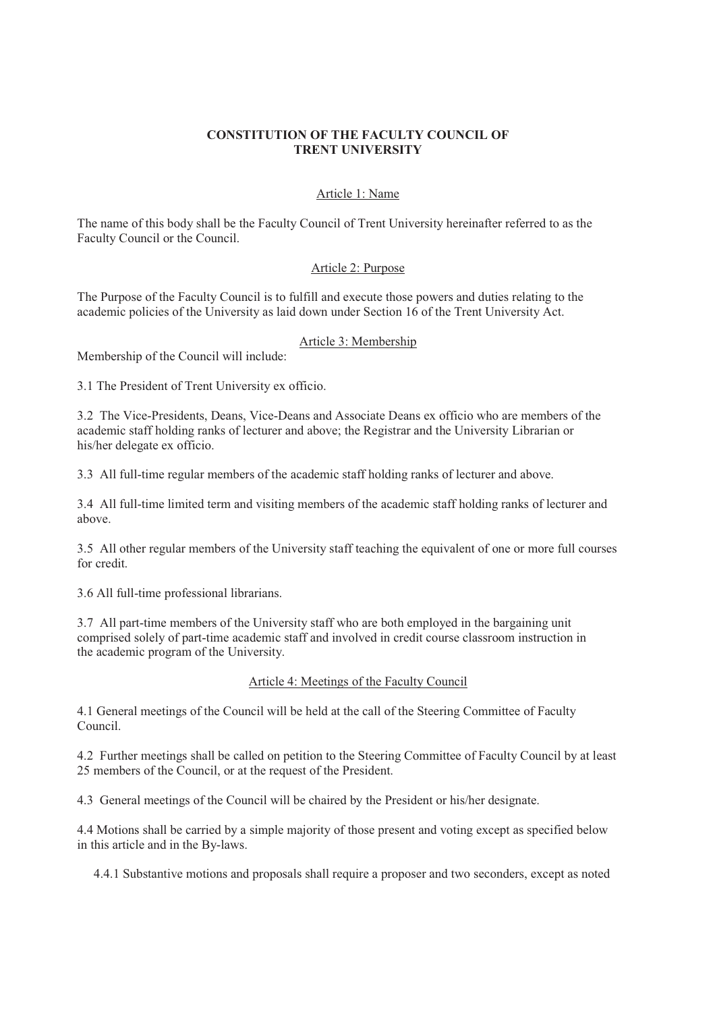# **CONSTITUTION OF THE FACULTY COUNCIL OF TRENT UNIVERSITY**

### Article 1: Name

The name of this body shall be the Faculty Council of Trent University hereinafter referred to as the Faculty Council or the Council.

# Article 2: Purpose

The Purpose of the Faculty Council is to fulfill and execute those powers and duties relating to the academic policies of the University as laid down under Section 16 of the Trent University Act.

#### Article 3: Membership

Membership of the Council will include:

3.1 The President of Trent University ex officio.

3.2 The Vice-Presidents, Deans, Vice-Deans and Associate Deans ex officio who are members of the academic staff holding ranks of lecturer and above; the Registrar and the University Librarian or his/her delegate ex officio.

3.3 All full-time regular members of the academic staff holding ranks of lecturer and above.

3.4 All full-time limited term and visiting members of the academic staff holding ranks of lecturer and above.

3.5 All other regular members of the University staff teaching the equivalent of one or more full courses for credit.

3.6 All full-time professional librarians.

3.7 All part-time members of the University staff who are both employed in the bargaining unit comprised solely of part-time academic staff and involved in credit course classroom instruction in the academic program of the University.

# Article 4: Meetings of the Faculty Council

4.1 General meetings of the Council will be held at the call of the Steering Committee of Faculty Council.

4.2 Further meetings shall be called on petition to the Steering Committee of Faculty Council by at least 25 members of the Council, or at the request of the President.

4.3 General meetings of the Council will be chaired by the President or his/her designate.

4.4 Motions shall be carried by a simple majority of those present and voting except as specified below in this article and in the By-laws.

4.4.1 Substantive motions and proposals shall require a proposer and two seconders, except as noted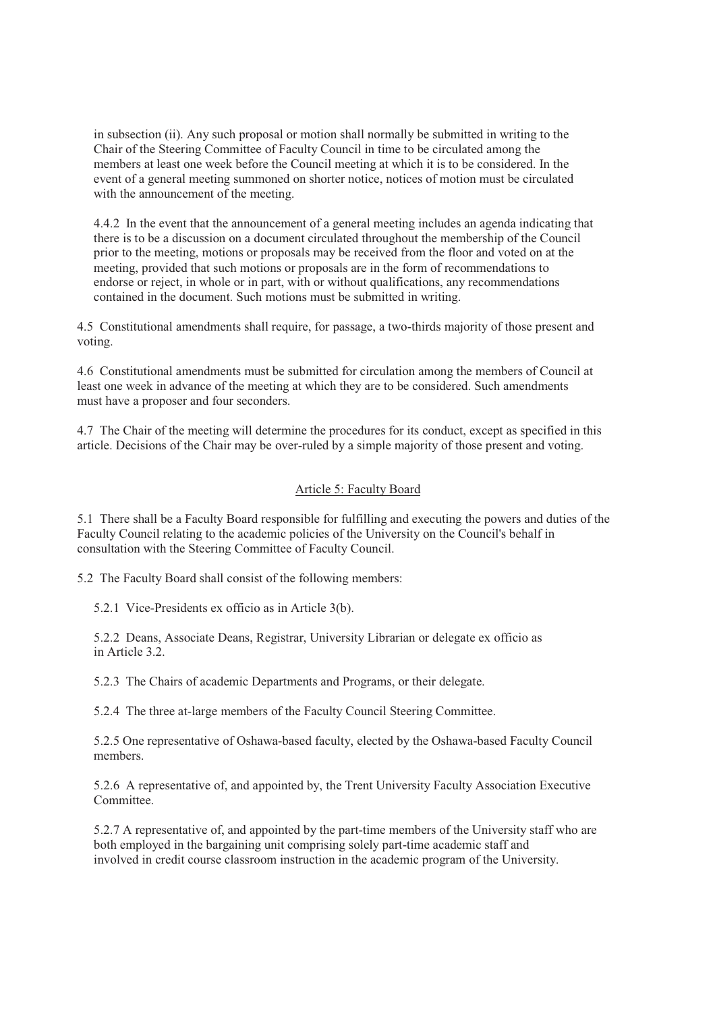in subsection (ii). Any such proposal or motion shall normally be submitted in writing to the Chair of the Steering Committee of Faculty Council in time to be circulated among the members at least one week before the Council meeting at which it is to be considered. In the event of a general meeting summoned on shorter notice, notices of motion must be circulated with the announcement of the meeting.

4.4.2 In the event that the announcement of a general meeting includes an agenda indicating that there is to be a discussion on a document circulated throughout the membership of the Council prior to the meeting, motions or proposals may be received from the floor and voted on at the meeting, provided that such motions or proposals are in the form of recommendations to endorse or reject, in whole or in part, with or without qualifications, any recommendations contained in the document. Such motions must be submitted in writing.

4.5 Constitutional amendments shall require, for passage, a two-thirds majority of those present and voting.

4.6 Constitutional amendments must be submitted for circulation among the members of Council at least one week in advance of the meeting at which they are to be considered. Such amendments must have a proposer and four seconders.

4.7 The Chair of the meeting will determine the procedures for its conduct, except as specified in this article. Decisions of the Chair may be over-ruled by a simple majority of those present and voting.

#### Article 5: Faculty Board

5.1 There shall be a Faculty Board responsible for fulfilling and executing the powers and duties of the Faculty Council relating to the academic policies of the University on the Council's behalf in consultation with the Steering Committee of Faculty Council.

5.2 The Faculty Board shall consist of the following members:

5.2.1 Vice-Presidents ex officio as in Article 3(b).

5.2.2 Deans, Associate Deans, Registrar, University Librarian or delegate ex officio as in Article 3.2.

5.2.3 The Chairs of academic Departments and Programs, or their delegate.

5.2.4 The three at-large members of the Faculty Council Steering Committee.

5.2.5 One representative of Oshawa-based faculty, elected by the Oshawa-based Faculty Council members.

5.2.6 A representative of, and appointed by, the Trent University Faculty Association Executive Committee.

5.2.7 A representative of, and appointed by the part-time members of the University staff who are both employed in the bargaining unit comprising solely part-time academic staff and involved in credit course classroom instruction in the academic program of the University.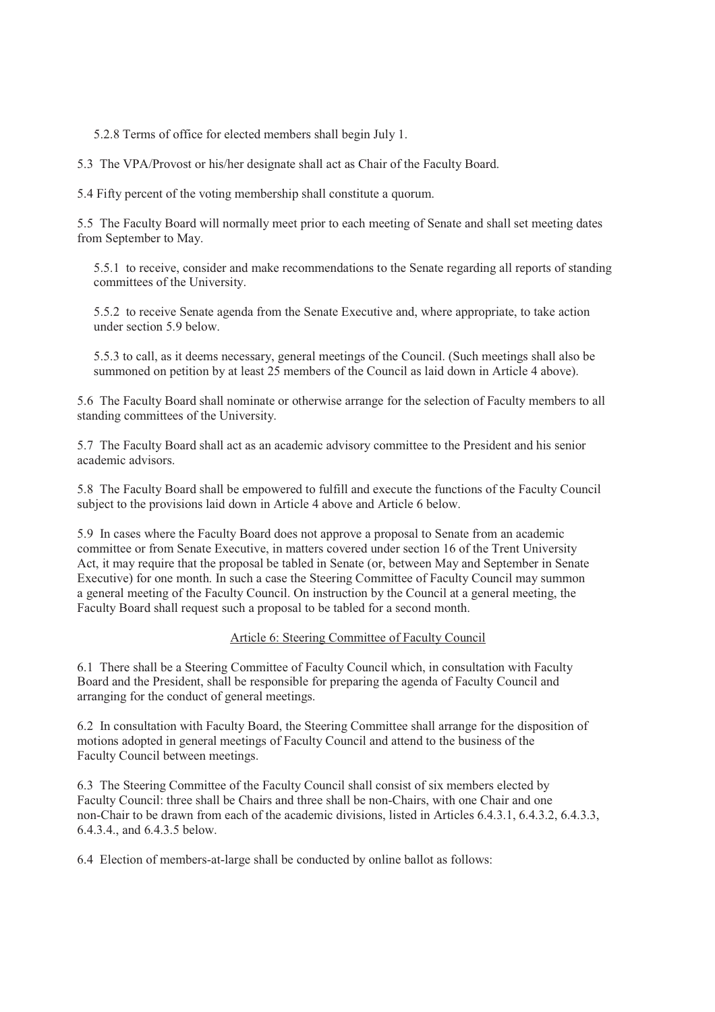5.2.8 Terms of office for elected members shall begin July 1.

5.3 The VPA/Provost or his/her designate shall act as Chair of the Faculty Board.

5.4 Fifty percent of the voting membership shall constitute a quorum.

5.5 The Faculty Board will normally meet prior to each meeting of Senate and shall set meeting dates from September to May.

5.5.1 to receive, consider and make recommendations to the Senate regarding all reports of standing committees of the University.

5.5.2 to receive Senate agenda from the Senate Executive and, where appropriate, to take action under section 5.9 below.

5.5.3 to call, as it deems necessary, general meetings of the Council. (Such meetings shall also be summoned on petition by at least 25 members of the Council as laid down in Article 4 above).

5.6 The Faculty Board shall nominate or otherwise arrange for the selection of Faculty members to all standing committees of the University.

5.7 The Faculty Board shall act as an academic advisory committee to the President and his senior academic advisors.

5.8 The Faculty Board shall be empowered to fulfill and execute the functions of the Faculty Council subject to the provisions laid down in Article 4 above and Article 6 below.

5.9 In cases where the Faculty Board does not approve a proposal to Senate from an academic committee or from Senate Executive, in matters covered under section 16 of the Trent University Act, it may require that the proposal be tabled in Senate (or, between May and September in Senate Executive) for one month. In such a case the Steering Committee of Faculty Council may summon a general meeting of the Faculty Council. On instruction by the Council at a general meeting, the Faculty Board shall request such a proposal to be tabled for a second month.

### Article 6: Steering Committee of Faculty Council

6.1 There shall be a Steering Committee of Faculty Council which, in consultation with Faculty Board and the President, shall be responsible for preparing the agenda of Faculty Council and arranging for the conduct of general meetings.

6.2 In consultation with Faculty Board, the Steering Committee shall arrange for the disposition of motions adopted in general meetings of Faculty Council and attend to the business of the Faculty Council between meetings.

6.3 The Steering Committee of the Faculty Council shall consist of six members elected by Faculty Council: three shall be Chairs and three shall be non-Chairs, with one Chair and one non-Chair to be drawn from each of the academic divisions, listed in Articles 6.4.3.1, 6.4.3.2, 6.4.3.3, 6.4.3.4., and 6.4.3.5 below.

6.4 Election of members-at-large shall be conducted by online ballot as follows: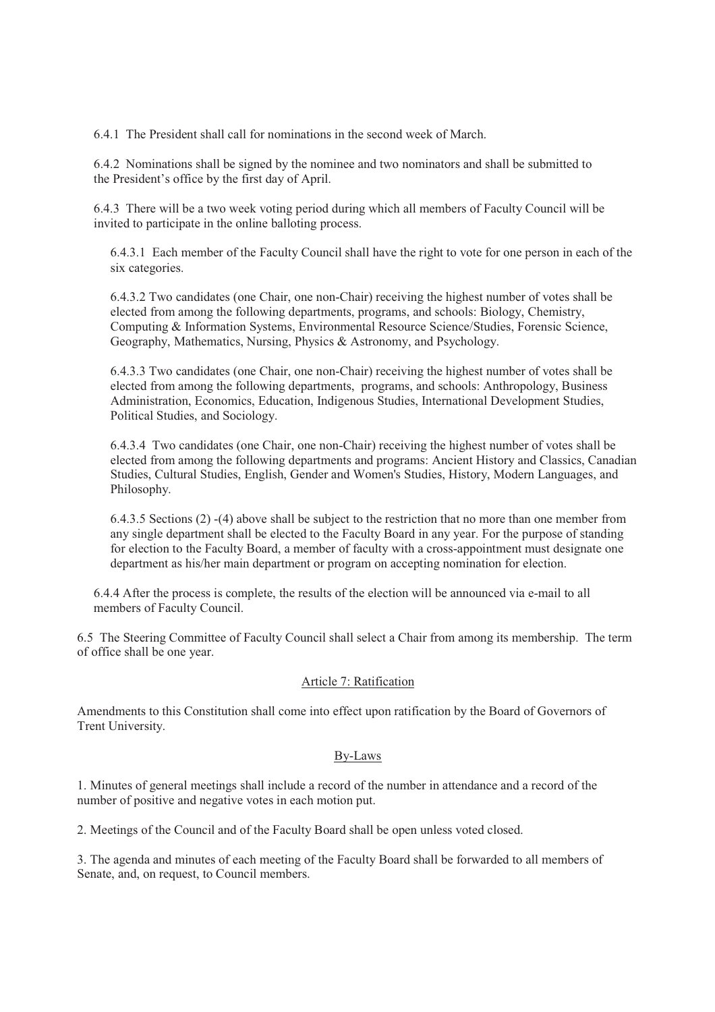6.4.1 The President shall call for nominations in the second week of March.

6.4.2 Nominations shall be signed by the nominee and two nominators and shall be submitted to the President's office by the first day of April.

6.4.3 There will be a two week voting period during which all members of Faculty Council will be invited to participate in the online balloting process.

6.4.3.1 Each member of the Faculty Council shall have the right to vote for one person in each of the six categories.

6.4.3.2 Two candidates (one Chair, one non-Chair) receiving the highest number of votes shall be elected from among the following departments, programs, and schools: Biology, Chemistry, Computing & Information Systems, Environmental Resource Science/Studies, Forensic Science, Geography, Mathematics, Nursing, Physics & Astronomy, and Psychology.

6.4.3.3 Two candidates (one Chair, one non-Chair) receiving the highest number of votes shall be elected from among the following departments, programs, and schools: Anthropology, Business Administration, Economics, Education, Indigenous Studies, International Development Studies, Political Studies, and Sociology.

6.4.3.4 Two candidates (one Chair, one non-Chair) receiving the highest number of votes shall be elected from among the following departments and programs: Ancient History and Classics, Canadian Studies, Cultural Studies, English, Gender and Women's Studies, History, Modern Languages, and Philosophy.

6.4.3.5 Sections (2) -(4) above shall be subject to the restriction that no more than one member from any single department shall be elected to the Faculty Board in any year. For the purpose of standing for election to the Faculty Board, a member of faculty with a cross-appointment must designate one department as his/her main department or program on accepting nomination for election.

6.4.4 After the process is complete, the results of the election will be announced via e-mail to all members of Faculty Council.

6.5 The Steering Committee of Faculty Council shall select a Chair from among its membership. The term of office shall be one year.

# Article 7: Ratification

Amendments to this Constitution shall come into effect upon ratification by the Board of Governors of Trent University.

#### By-Laws

1. Minutes of general meetings shall include a record of the number in attendance and a record of the number of positive and negative votes in each motion put.

2. Meetings of the Council and of the Faculty Board shall be open unless voted closed.

3. The agenda and minutes of each meeting of the Faculty Board shall be forwarded to all members of Senate, and, on request, to Council members.